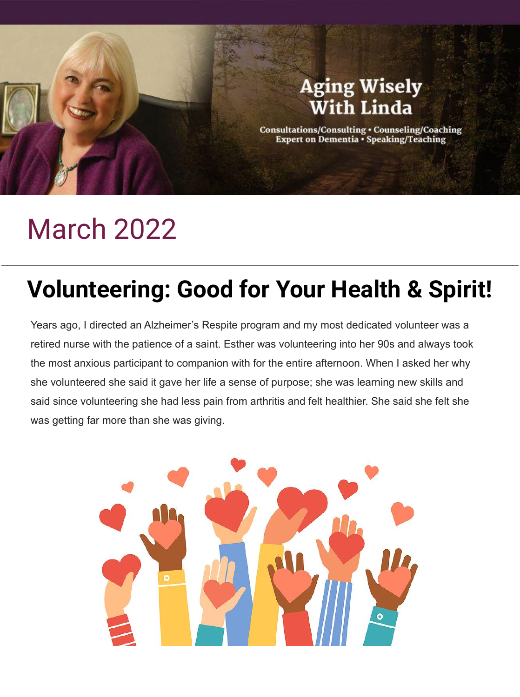

# March 2022

# **Volunteering: Good for Your Health & Spirit!**

Years ago, I directed an Alzheimer's Respite program and my most dedicated volunteer was a retired nurse with the patience of a saint. Esther was volunteering into her 90s and always took the most anxious participant to companion with for the entire afternoon. When I asked her why she volunteered she said it gave her life a sense of purpose; she was learning new skills and said since volunteering she had less pain from arthritis and felt healthier. She said she felt she was getting far more than she was giving.

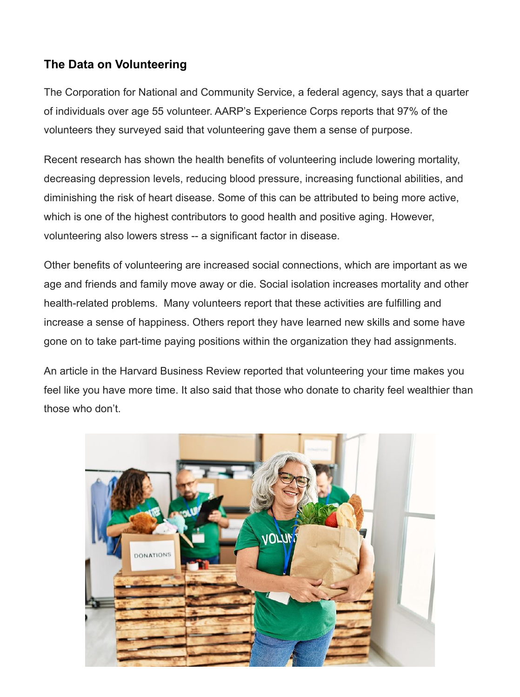## **The Data on Volunteering**

The Corporation for National and Community Service, a federal agency, says that a quarter of individuals over age 55 volunteer. AARP's Experience Corps reports that 97% of the volunteers they surveyed said that volunteering gave them a sense of purpose.

Recent research has shown the health benefits of volunteering include lowering mortality, decreasing depression levels, reducing blood pressure, increasing functional abilities, and diminishing the risk of heart disease. Some of this can be attributed to being more active, which is one of the highest contributors to good health and positive aging. However, volunteering also lowers stress -- a significant factor in disease.

Other benefits of volunteering are increased social connections, which are important as we age and friends and family move away or die. Social isolation increases mortality and other health-related problems. Many volunteers report that these activities are fulfilling and increase a sense of happiness. Others report they have learned new skills and some have gone on to take part-time paying positions within the organization they had assignments.

An article in the Harvard Business Review reported that volunteering your time makes you feel like you have more time. It also said that those who donate to charity feel wealthier than those who don't.